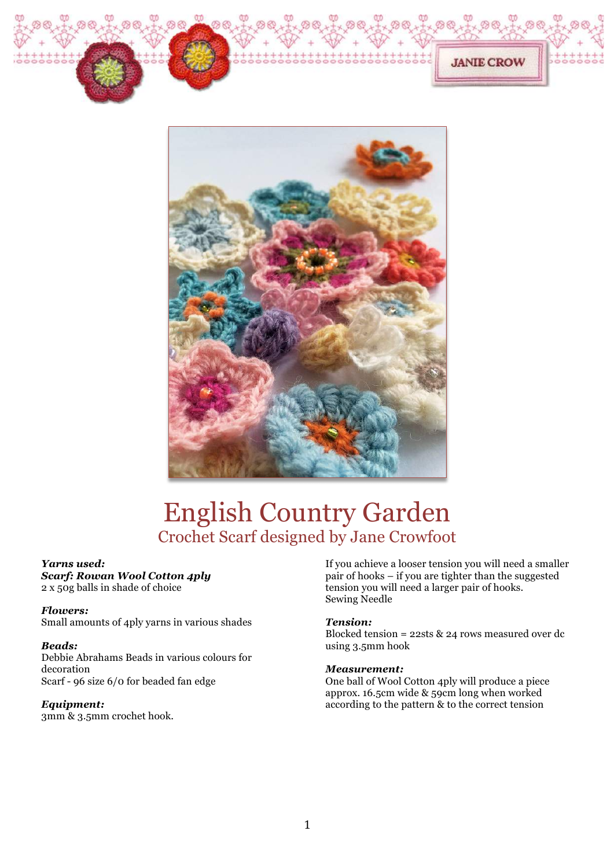



# English Country Garden Crochet Scarf designed by Jane Crowfoot

# *Yarns used:*

*Scarf: Rowan Wool Cotton 4ply* 2 x 50g balls in shade of choice

# *Flowers:*

Small amounts of 4ply yarns in various shades

# *Beads:*

Debbie Abrahams Beads in various colours for decoration Scarf - 96 size 6/0 for beaded fan edge

# *Equipment:*

3mm & 3.5mm crochet hook.

If you achieve a looser tension you will need a smaller pair of hooks – if you are tighter than the suggested tension you will need a larger pair of hooks. Sewing Needle

**JANIE CROW** 

# *Tension:*

Blocked tension = 22sts & 24 rows measured over dc using 3.5mm hook

## *Measurement:*

One ball of Wool Cotton 4ply will produce a piece approx. 16.5cm wide & 59cm long when worked according to the pattern & to the correct tension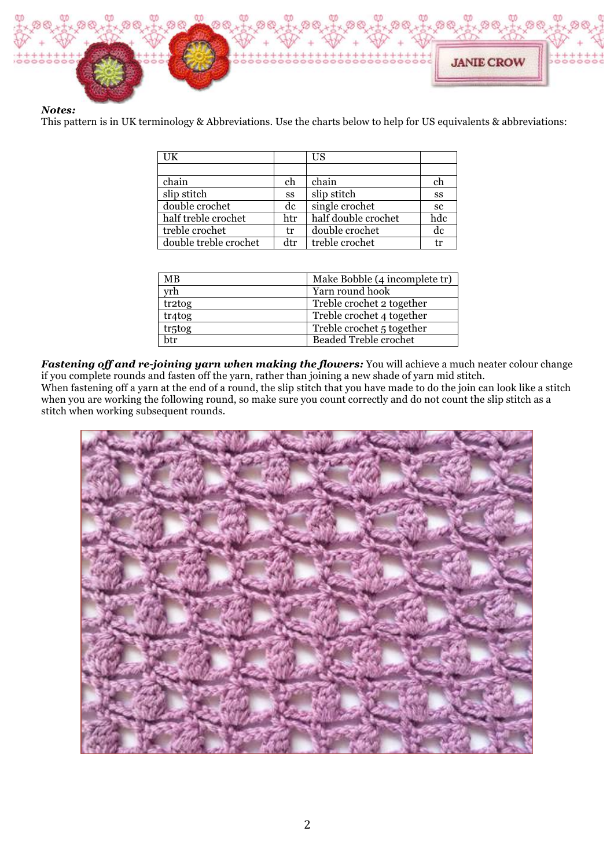

## *Notes:*

This pattern is in UK terminology & Abbreviations. Use the charts below to help for US equivalents & abbreviations:

| UK                    |     | <b>US</b>           |     |
|-----------------------|-----|---------------------|-----|
|                       |     |                     |     |
| chain                 | ch  | chain               | ch  |
| slip stitch           | SS  | slip stitch         | SS  |
| double crochet        | dc  | single crochet      | sc  |
| half treble crochet   | htr | half double crochet | hdc |
| treble crochet        | tr  | double crochet      | dc  |
| double treble crochet | dtr | treble crochet      | tr  |

| <b>MB</b> | Make Bobble (4 incomplete tr) |  |
|-----------|-------------------------------|--|
| yrh       | Yarn round hook               |  |
| tr2tog    | Treble crochet 2 together     |  |
| tr4tog    | Treble crochet 4 together     |  |
| tr5tog    | Treble crochet 5 together     |  |
| <b>h</b>  | <b>Beaded Treble crochet</b>  |  |

*Fastening off and re-joining yarn when making the flowers:* You will achieve a much neater colour change if you complete rounds and fasten off the yarn, rather than joining a new shade of yarn mid stitch. When fastening off a yarn at the end of a round, the slip stitch that you have made to do the join can look like a stitch when you are working the following round, so make sure you count correctly and do not count the slip stitch as a stitch when working subsequent rounds.

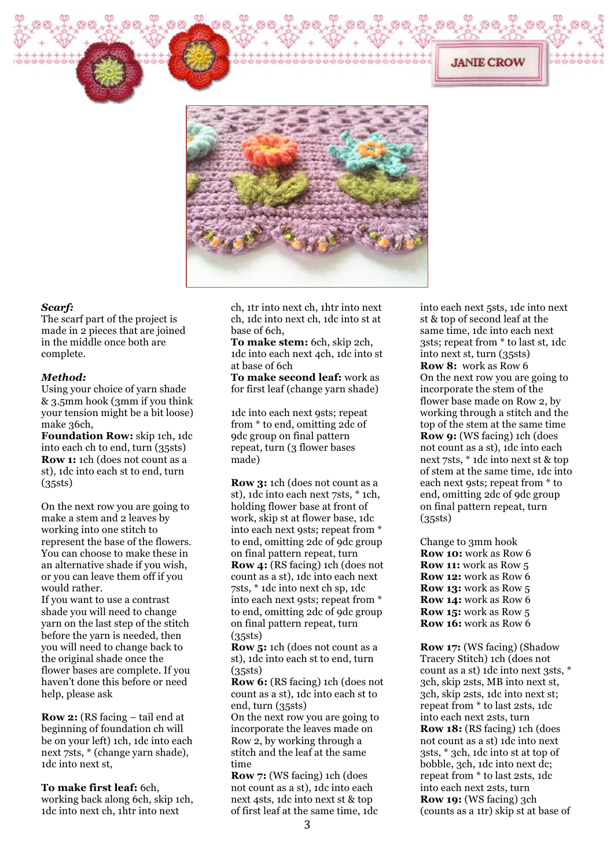

#### *Scarf:*

The scarf part of the project is made in 2 pieces that are joined in the middle once both are complete.

#### *Method:*

Using your choice of yarn shade & 3.5mm hook (3mm if you think your tension might be a bit loose) make 36ch,

**Foundation Row:** skip 1ch, 1dc into each ch to end, turn (35sts) **Row 1:** 1ch (does not count as a st), 1dc into each st to end, turn (35sts)

On the next row you are going to make a stem and 2 leaves by working into one stitch to represent the base of the flowers. You can choose to make these in an alternative shade if you wish, or you can leave them off if you would rather.

If you want to use a contrast shade you will need to change yarn on the last step of the stitch before the yarn is needed, then you will need to change back to the original shade once the flower bases are complete. If you haven't done this before or need help, please ask

**Row 2:** (RS facing – tail end at beginning of foundation ch will be on your left) 1ch, 1dc into each next 7sts, \* (change yarn shade), 1dc into next st,

**To make first leaf:** 6ch, working back along 6ch, skip 1ch, 1dc into next ch, 1htr into next

ch, 1tr into next ch, 1htr into next ch, 1dc into next ch, 1dc into st at base of 6ch,

**To make stem:** 6ch, skip 2ch, 1dc into each next 4ch, 1dc into st at base of 6ch

**To make second leaf:** work as for first leaf (change yarn shade)

1dc into each next 9sts; repeat from \* to end, omitting 2dc of 9dc group on final pattern repeat, turn (3 flower bases made)

**Row 3:** 1ch (does not count as a st), 1dc into each next 7sts, \* 1ch, holding flower base at front of work, skip st at flower base, 1dc into each next 9sts; repeat from \* to end, omitting 2dc of 9dc group on final pattern repeat, turn **Row 4:** (RS facing) 1ch (does not count as a st), 1dc into each next 7sts, \* 1dc into next ch sp, 1dc into each next 9sts; repeat from \* to end, omitting 2dc of 9dc group on final pattern repeat, turn (35sts)

**Row 5:** 1ch (does not count as a st), 1dc into each st to end, turn (35sts)

**Row 6:** (RS facing) 1ch (does not count as a st), 1dc into each st to end, turn (35sts)

On the next row you are going to incorporate the leaves made on Row 2, by working through a stitch and the leaf at the same time

**Row 7:** (WS facing) 1ch (does not count as a st), 1dc into each next 4sts, 1dc into next st & top of first leaf at the same time, 1dc into each next 5sts, 1dc into next st & top of second leaf at the same time, 1dc into each next 3sts; repeat from \* to last st, 1dc into next st, turn (35sts) **Row 8:** work as Row 6 On the next row you are going to incorporate the stem of the flower base made on Row 2, by working through a stitch and the top of the stem at the same time **Row 9:** (WS facing) 1ch (does not count as a st), 1dc into each next 7sts, \* 1dc into next st & top of stem at the same time, 1dc into each next 9sts; repeat from \* to end, omitting 2dc of 9dc group on final pattern repeat, turn (35sts)

**JANIE CROW** 

Change to 3mm hook **Row 10:** work as Row 6 **Row 11:** work as Row 5 **Row 12:** work as Row 6 **Row 13:** work as Row 5 **Row 14:** work as Row 6 **Row 15:** work as Row 5 **Row 16:** work as Row 6

**Row 17:** (WS facing) (Shadow Tracery Stitch) 1ch (does not count as a st) 1dc into next 3sts, \* 3ch, skip 2sts, MB into next st, 3ch, skip 2sts, 1dc into next st; repeat from \* to last 2sts, 1dc into each next 2sts, turn **Row 18:** (RS facing) 1ch (does not count as a st) 1dc into next 3sts, \* 3ch, 1dc into st at top of bobble, 3ch, 1dc into next dc; repeat from \* to last 2sts, 1dc into each next 2sts, turn **Row 19:** (WS facing) 3ch (counts as a 1tr) skip st at base of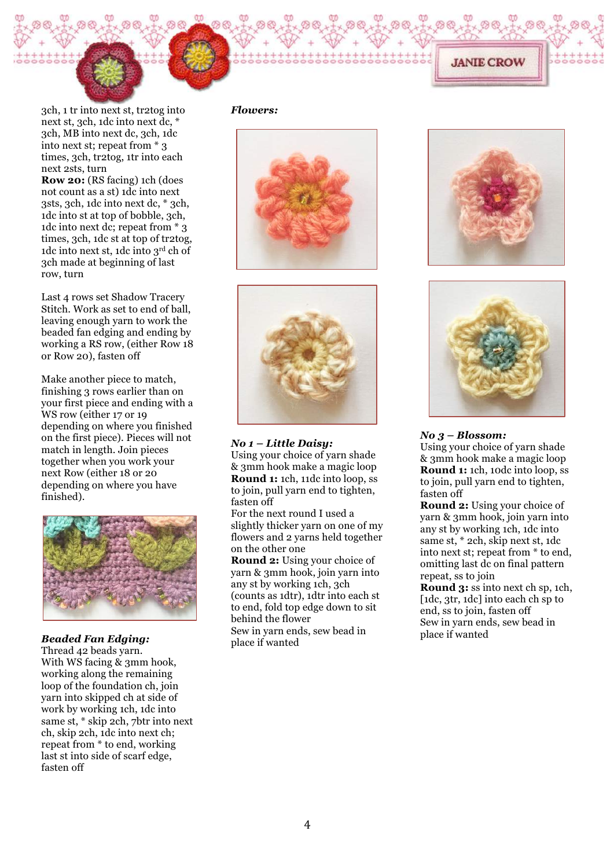

3ch, 1 tr into next st, tr2tog into next st, 3ch, 1dc into next dc, \* 3ch, MB into next dc, 3ch, 1dc into next st; repeat from \* 3 times, 3ch, tr2tog, 1tr into each next 2sts, turn

**Row 20:** (RS facing) 1ch (does not count as a st) 1dc into next 3sts, 3ch, 1dc into next dc, \* 3ch, 1dc into st at top of bobble, 3ch, 1dc into next dc; repeat from \* 3 times, 3ch, 1dc st at top of tr2tog, 1dc into next st, 1dc into 3rd ch of 3ch made at beginning of last row, turn

Last 4 rows set Shadow Tracery Stitch. Work as set to end of ball, leaving enough yarn to work the beaded fan edging and ending by working a RS row, (either Row 18 or Row 20), fasten off

Make another piece to match, finishing 3 rows earlier than on your first piece and ending with a WS row (either 17 or 19 depending on where you finished on the first piece). Pieces will not match in length. Join pieces together when you work your next Row (either 18 or 20 depending on where you have finished).



## *Beaded Fan Edging:*

Thread 42 beads yarn. With WS facing & 3mm hook, working along the remaining loop of the foundation ch, join yarn into skipped ch at side of work by working 1ch, 1dc into same st, \* skip 2ch, 7btr into next ch, skip 2ch, 1dc into next ch; repeat from \* to end, working last st into side of scarf edge, fasten off

## *Flowers:*





*No 1 – Little Daisy:* Using your choice of yarn shade & 3mm hook make a magic loop **Round 1:** 1ch, 11dc into loop, ss to join, pull yarn end to tighten, fasten off

For the next round I used a slightly thicker yarn on one of my flowers and 2 yarns held together on the other one

**Round 2:** Using your choice of yarn & 3mm hook, join yarn into any st by working 1ch, 3ch (counts as 1dtr), 1dtr into each st to end, fold top edge down to sit behind the flower Sew in yarn ends, sew bead in place if wanted



**JANIE CROW** 



#### *No 3 – Blossom:*

Using your choice of yarn shade & 3mm hook make a magic loop **Round 1:** 1ch, 10dc into loop, ss to join, pull yarn end to tighten, fasten off

**Round 2:** Using your choice of yarn & 3mm hook, join yarn into any st by working 1ch, 1dc into same st, \* 2ch, skip next st, 1dc into next st; repeat from \* to end, omitting last dc on final pattern repeat, ss to join

**Round 3:** ss into next ch sp, 1ch, [1dc, 3tr, 1dc] into each ch sp to end, ss to join, fasten off Sew in yarn ends, sew bead in place if wanted